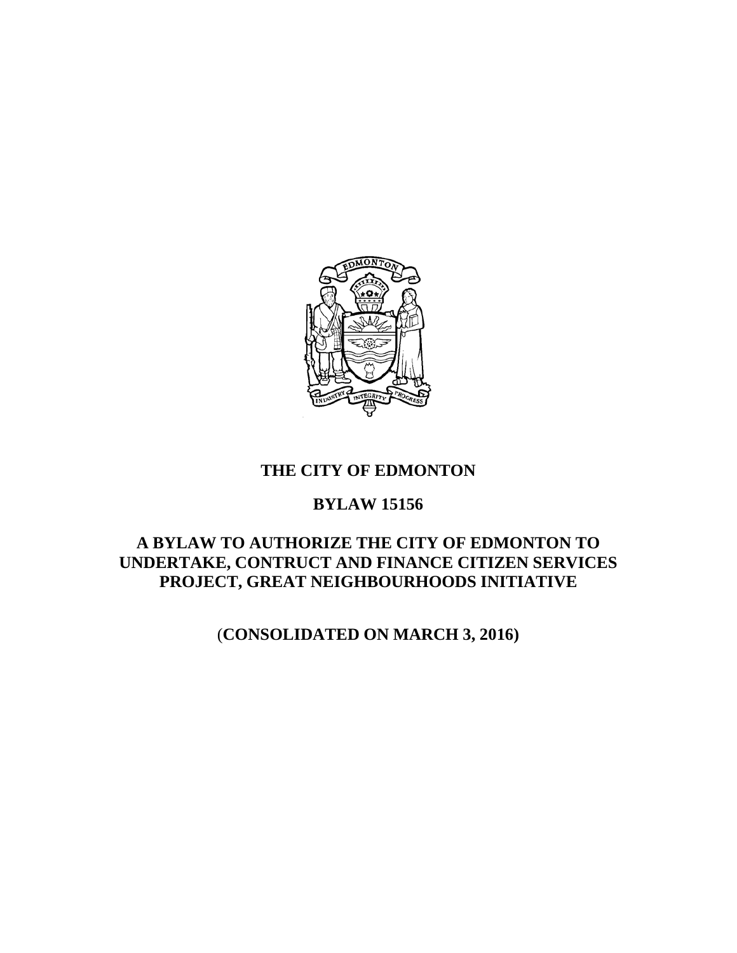

## **THE CITY OF EDMONTON**

# **BYLAW 15156**

# **A BYLAW TO AUTHORIZE THE CITY OF EDMONTON TO UNDERTAKE, CONTRUCT AND FINANCE CITIZEN SERVICES PROJECT, GREAT NEIGHBOURHOODS INITIATIVE**

(**CONSOLIDATED ON MARCH 3, 2016)**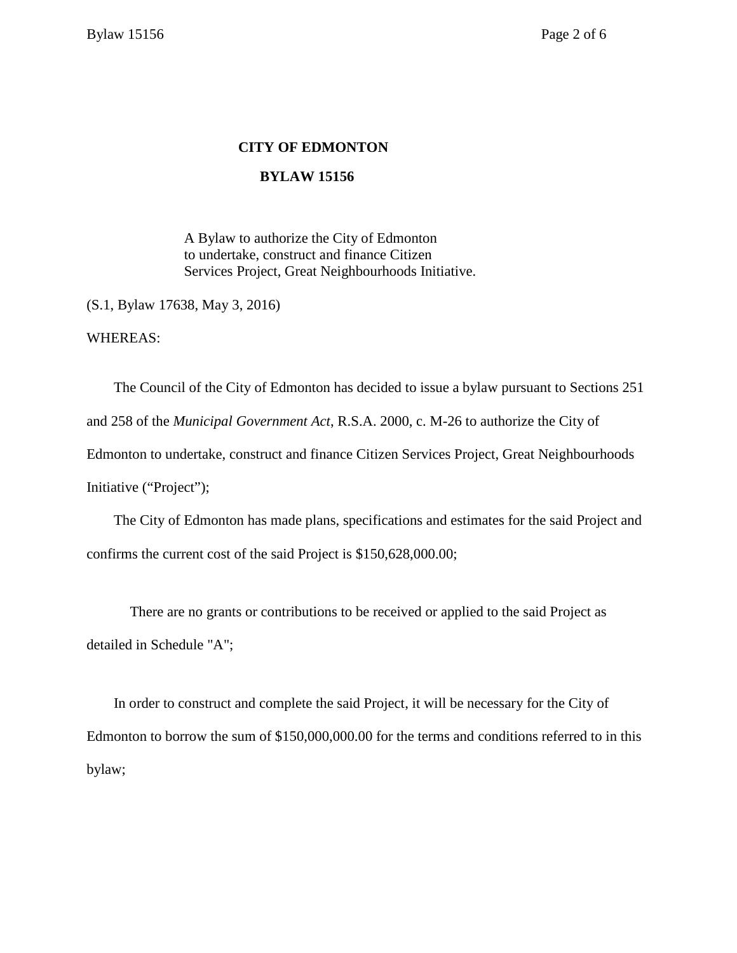## **CITY OF EDMONTON**

### **BYLAW 15156**

A Bylaw to authorize the City of Edmonton to undertake, construct and finance Citizen Services Project, Great Neighbourhoods Initiative.

(S.1, Bylaw 17638, May 3, 2016)

WHEREAS:

The Council of the City of Edmonton has decided to issue a bylaw pursuant to Sections 251 and 258 of the *Municipal Government Act*, R.S.A. 2000, c. M-26 to authorize the City of Edmonton to undertake, construct and finance Citizen Services Project, Great Neighbourhoods Initiative ("Project");

The City of Edmonton has made plans, specifications and estimates for the said Project and confirms the current cost of the said Project is \$150,628,000.00;

There are no grants or contributions to be received or applied to the said Project as detailed in Schedule "A";

In order to construct and complete the said Project, it will be necessary for the City of Edmonton to borrow the sum of \$150,000,000.00 for the terms and conditions referred to in this bylaw;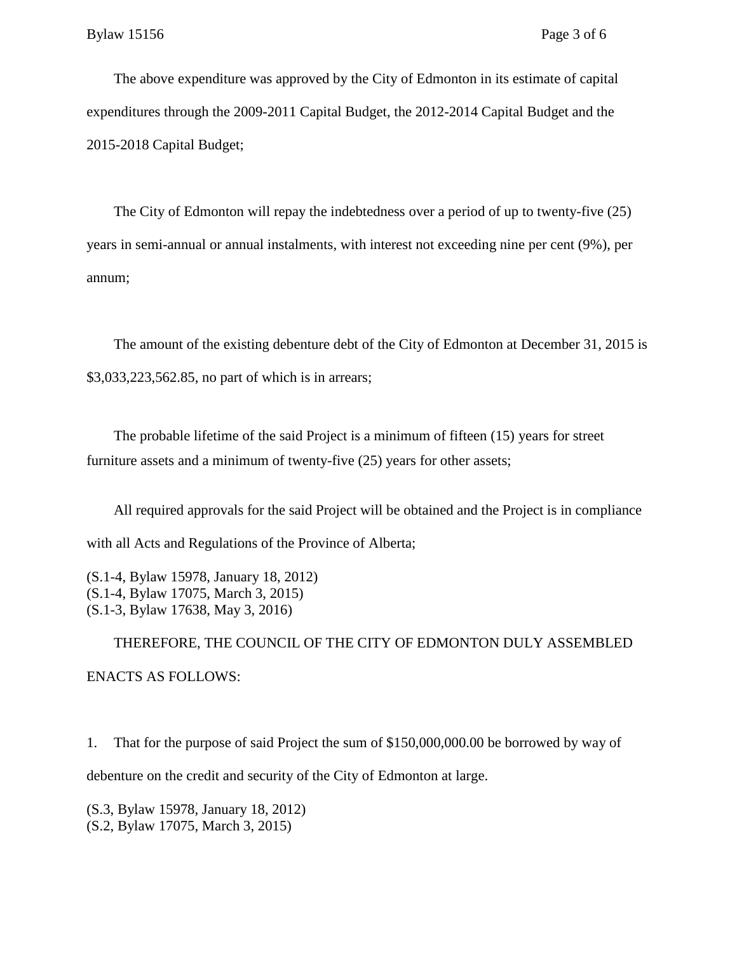The above expenditure was approved by the City of Edmonton in its estimate of capital expenditures through the 2009-2011 Capital Budget, the 2012-2014 Capital Budget and the 2015-2018 Capital Budget;

The City of Edmonton will repay the indebtedness over a period of up to twenty-five (25) years in semi-annual or annual instalments, with interest not exceeding nine per cent (9%), per annum;

The amount of the existing debenture debt of the City of Edmonton at December 31, 2015 is \$3,033,223,562.85, no part of which is in arrears;

The probable lifetime of the said Project is a minimum of fifteen (15) years for street furniture assets and a minimum of twenty-five (25) years for other assets;

All required approvals for the said Project will be obtained and the Project is in compliance with all Acts and Regulations of the Province of Alberta;

(S.1-4, Bylaw 15978, January 18, 2012) (S.1-4, Bylaw 17075, March 3, 2015) (S.1-3, Bylaw 17638, May 3, 2016)

THEREFORE, THE COUNCIL OF THE CITY OF EDMONTON DULY ASSEMBLED ENACTS AS FOLLOWS:

1. That for the purpose of said Project the sum of \$150,000,000.00 be borrowed by way of debenture on the credit and security of the City of Edmonton at large.

(S.3, Bylaw 15978, January 18, 2012) (S.2, Bylaw 17075, March 3, 2015)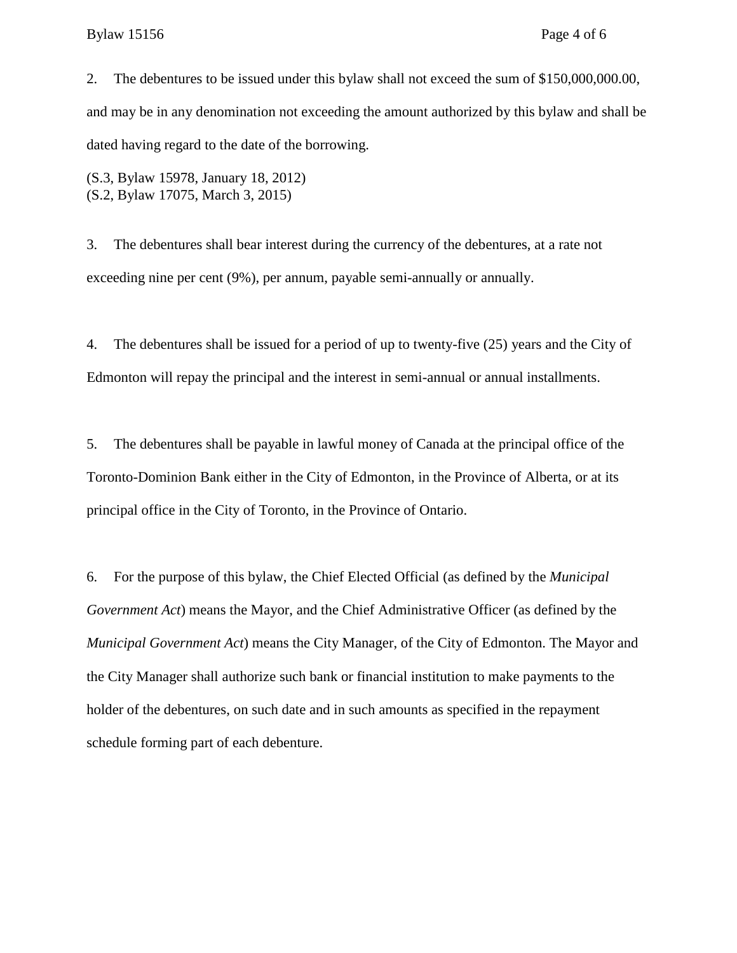#### Bylaw 15156 Page 4 of 6

2. The debentures to be issued under this bylaw shall not exceed the sum of \$150,000,000.00, and may be in any denomination not exceeding the amount authorized by this bylaw and shall be dated having regard to the date of the borrowing.

(S.3, Bylaw 15978, January 18, 2012) (S.2, Bylaw 17075, March 3, 2015)

3. The debentures shall bear interest during the currency of the debentures, at a rate not exceeding nine per cent (9%), per annum, payable semi-annually or annually.

4. The debentures shall be issued for a period of up to twenty-five (25) years and the City of Edmonton will repay the principal and the interest in semi-annual or annual installments.

5. The debentures shall be payable in lawful money of Canada at the principal office of the Toronto-Dominion Bank either in the City of Edmonton, in the Province of Alberta, or at its principal office in the City of Toronto, in the Province of Ontario.

6. For the purpose of this bylaw, the Chief Elected Official (as defined by the *Municipal Government Act*) means the Mayor, and the Chief Administrative Officer (as defined by the *Municipal Government Act*) means the City Manager, of the City of Edmonton. The Mayor and the City Manager shall authorize such bank or financial institution to make payments to the holder of the debentures, on such date and in such amounts as specified in the repayment schedule forming part of each debenture.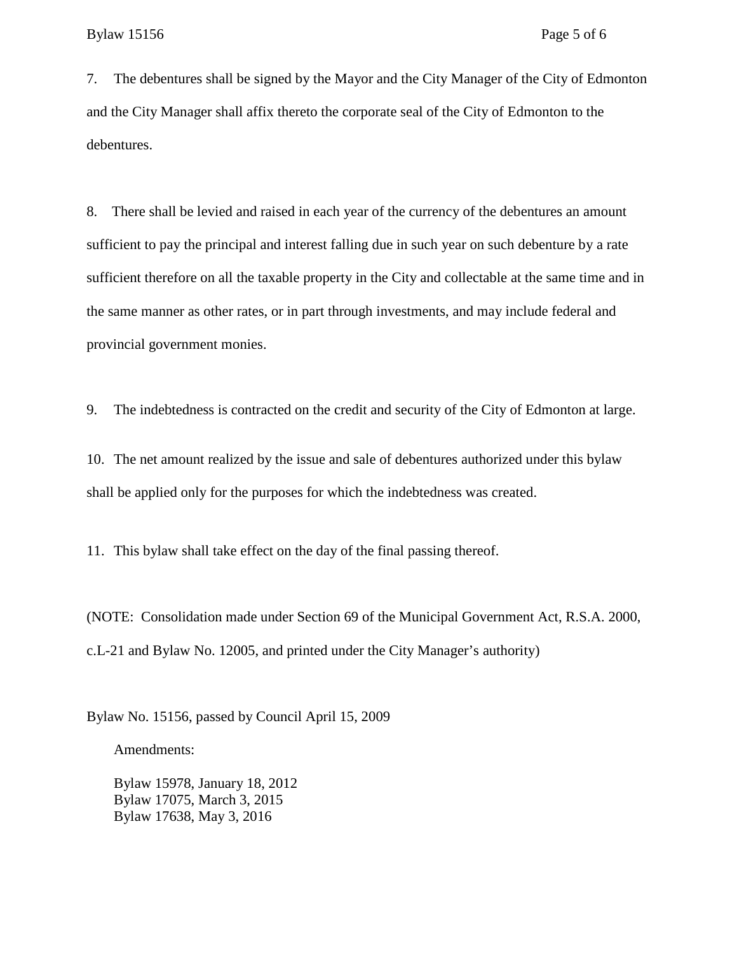7. The debentures shall be signed by the Mayor and the City Manager of the City of Edmonton and the City Manager shall affix thereto the corporate seal of the City of Edmonton to the debentures.

8. There shall be levied and raised in each year of the currency of the debentures an amount sufficient to pay the principal and interest falling due in such year on such debenture by a rate sufficient therefore on all the taxable property in the City and collectable at the same time and in the same manner as other rates, or in part through investments, and may include federal and provincial government monies.

9. The indebtedness is contracted on the credit and security of the City of Edmonton at large.

10. The net amount realized by the issue and sale of debentures authorized under this bylaw shall be applied only for the purposes for which the indebtedness was created.

11. This bylaw shall take effect on the day of the final passing thereof.

(NOTE: Consolidation made under Section 69 of the Municipal Government Act, R.S.A. 2000, c.L-21 and Bylaw No. 12005, and printed under the City Manager's authority)

Bylaw No. 15156, passed by Council April 15, 2009

Amendments:

Bylaw 15978, January 18, 2012 Bylaw 17075, March 3, 2015 Bylaw 17638, May 3, 2016